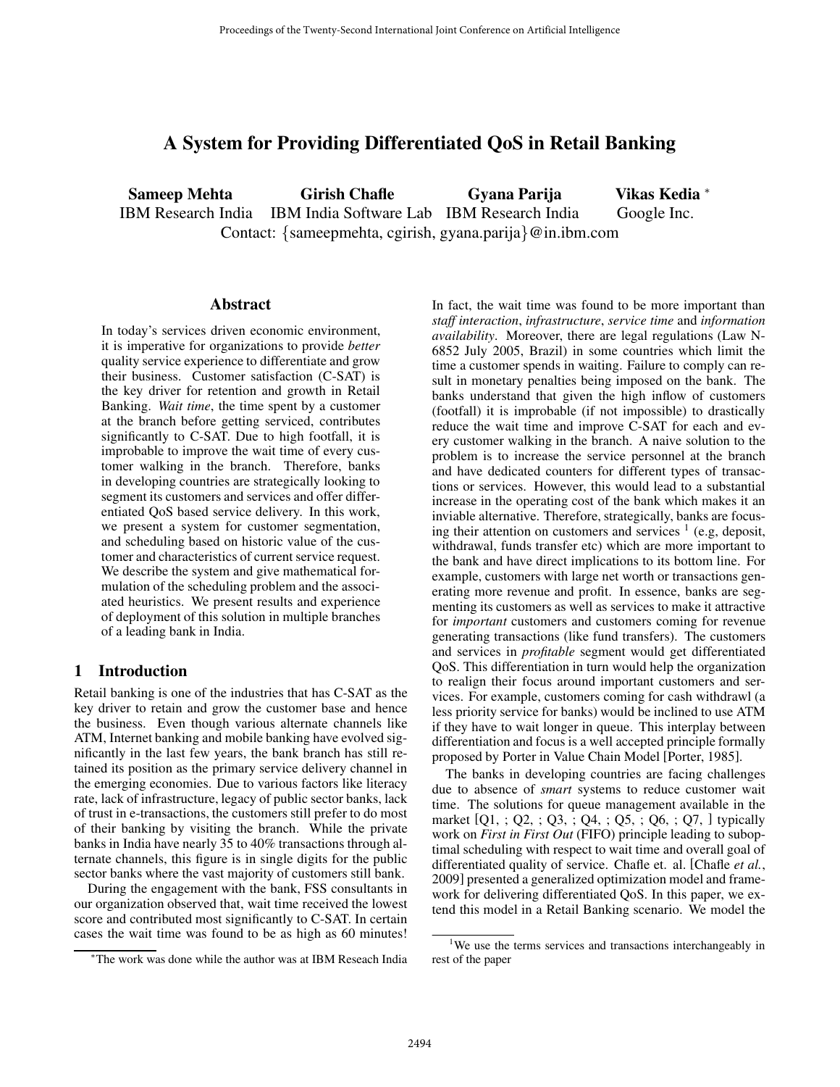# A System for Providing Differentiated QoS in Retail Banking

Sameep Mehta Girish Chafle Gyana Parija Vikas Kedia <sup>∗</sup> IBM Research India IBM India Software Lab IBM Research India Google Inc. Contact: {sameepmehta, cgirish, gyana.parija}@in.ibm.com

#### **Abstract**

In today's services driven economic environment, it is imperative for organizations to provide *better* quality service experience to differentiate and grow their business. Customer satisfaction (C-SAT) is the key driver for retention and growth in Retail Banking. *Wait time*, the time spent by a customer at the branch before getting serviced, contributes significantly to C-SAT. Due to high footfall, it is improbable to improve the wait time of every customer walking in the branch. Therefore, banks in developing countries are strategically looking to segment its customers and services and offer differentiated QoS based service delivery. In this work, we present a system for customer segmentation, and scheduling based on historic value of the customer and characteristics of current service request. We describe the system and give mathematical formulation of the scheduling problem and the associated heuristics. We present results and experience of deployment of this solution in multiple branches of a leading bank in India.

### 1 Introduction

Retail banking is one of the industries that has C-SAT as the key driver to retain and grow the customer base and hence the business. Even though various alternate channels like ATM, Internet banking and mobile banking have evolved significantly in the last few years, the bank branch has still retained its position as the primary service delivery channel in the emerging economies. Due to various factors like literacy rate, lack of infrastructure, legacy of public sector banks, lack of trust in e-transactions, the customers still prefer to do most of their banking by visiting the branch. While the private banks in India have nearly 35 to 40% transactions through alternate channels, this figure is in single digits for the public sector banks where the vast majority of customers still bank.

During the engagement with the bank, FSS consultants in our organization observed that, wait time received the lowest score and contributed most significantly to C-SAT. In certain cases the wait time was found to be as high as 60 minutes! In fact, the wait time was found to be more important than *staff interaction*, *infrastructure*, *service time* and *information availability*. Moreover, there are legal regulations (Law N-6852 July 2005, Brazil) in some countries which limit the time a customer spends in waiting. Failure to comply can result in monetary penalties being imposed on the bank. The banks understand that given the high inflow of customers (footfall) it is improbable (if not impossible) to drastically reduce the wait time and improve C-SAT for each and every customer walking in the branch. A naive solution to the problem is to increase the service personnel at the branch and have dedicated counters for different types of transactions or services. However, this would lead to a substantial increase in the operating cost of the bank which makes it an inviable alternative. Therefore, strategically, banks are focusing their attention on customers and services  $\frac{1}{1}$  (e.g, deposit, withdrawal, funds transfer etc) which are more important to the bank and have direct implications to its bottom line. For example, customers with large net worth or transactions generating more revenue and profit. In essence, banks are segmenting its customers as well as services to make it attractive for *important* customers and customers coming for revenue generating transactions (like fund transfers). The customers and services in *profitable* segment would get differentiated QoS. This differentiation in turn would help the organization to realign their focus around important customers and services. For example, customers coming for cash withdrawl (a less priority service for banks) would be inclined to use ATM if they have to wait longer in queue. This interplay between differentiation and focus is a well accepted principle formally proposed by Porter in Value Chain Model [Porter, 1985].

The banks in developing countries are facing challenges due to absence of *smart* systems to reduce customer wait time. The solutions for queue management available in the market [Q1, ; Q2, ; Q3, ; Q4, ; Q5, ; Q6, ; Q7, ] typically work on *First in First Out* (FIFO) principle leading to suboptimal scheduling with respect to wait time and overall goal of differentiated quality of service. Chafle et. al. [Chafle *et al.*, 2009] presented a generalized optimization model and framework for delivering differentiated QoS. In this paper, we extend this model in a Retail Banking scenario. We model the

<sup>∗</sup>The work was done while the author was at IBM Reseach India

<sup>&</sup>lt;sup>1</sup>We use the terms services and transactions interchangeably in rest of the paper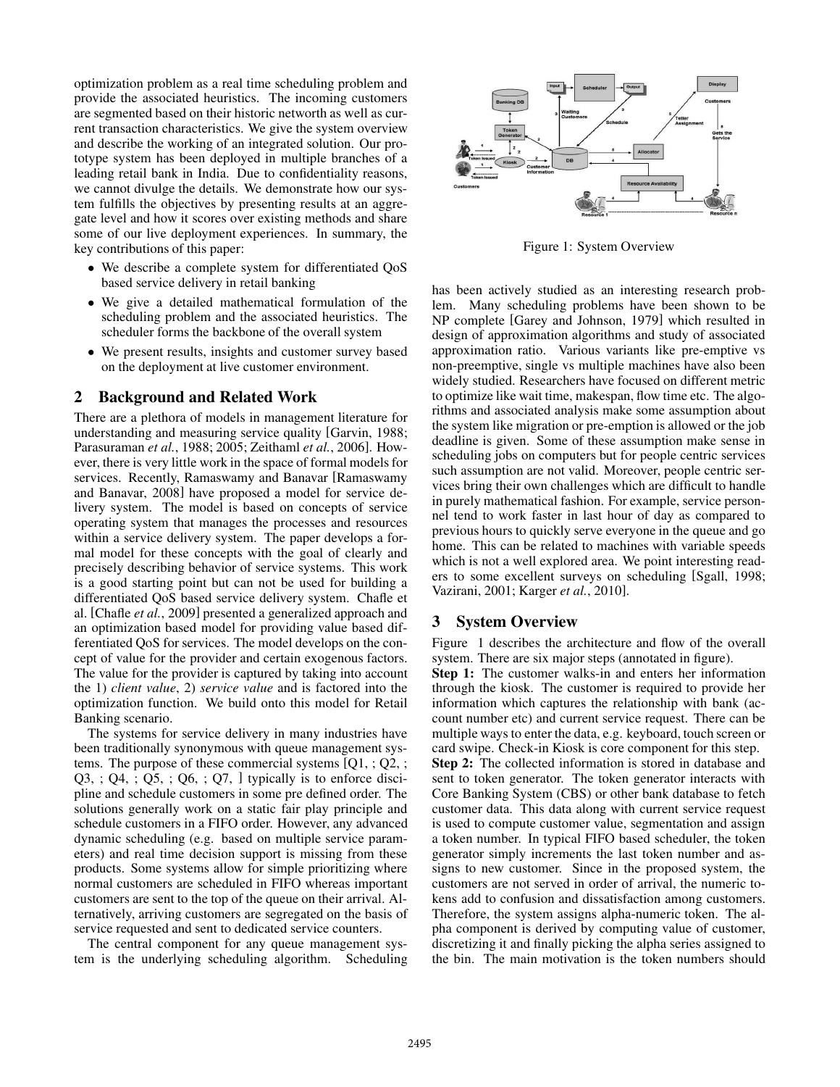optimization problem as a real time scheduling problem and provide the associated heuristics. The incoming customers are segmented based on their historic networth as well as current transaction characteristics. We give the system overview and describe the working of an integrated solution. Our prototype system has been deployed in multiple branches of a leading retail bank in India. Due to confidentiality reasons, we cannot divulge the details. We demonstrate how our system fulfills the objectives by presenting results at an aggregate level and how it scores over existing methods and share some of our live deployment experiences. In summary, the key contributions of this paper:

- We describe a complete system for differentiated  $QoS$ based service delivery in retail banking
- We give a detailed mathematical formulation of the scheduling problem and the associated heuristics. The scheduler forms the backbone of the overall system
- We present results, insights and customer survey based on the deployment at live customer environment.

### 2 Background and Related Work

There are a plethora of models in management literature for understanding and measuring service quality [Garvin, 1988; Parasuraman *et al.*, 1988; 2005; Zeithaml *et al.*, 2006]. However, there is very little work in the space of formal models for services. Recently, Ramaswamy and Banavar [Ramaswamy and Banavar, 2008] have proposed a model for service delivery system. The model is based on concepts of service operating system that manages the processes and resources within a service delivery system. The paper develops a formal model for these concepts with the goal of clearly and precisely describing behavior of service systems. This work is a good starting point but can not be used for building a differentiated QoS based service delivery system. Chafle et al. [Chafle *et al.*, 2009] presented a generalized approach and an optimization based model for providing value based differentiated QoS for services. The model develops on the concept of value for the provider and certain exogenous factors. The value for the provider is captured by taking into account the 1) *client value*, 2) *service value* and is factored into the optimization function. We build onto this model for Retail Banking scenario.

The systems for service delivery in many industries have been traditionally synonymous with queue management systems. The purpose of these commercial systems  $[Q1, Q2, q]$  $Q3$ , ;  $Q4$ , ;  $Q5$ , ;  $Q6$ , ;  $Q7$ , I typically is to enforce discipline and schedule customers in some pre defined order. The solutions generally work on a static fair play principle and schedule customers in a FIFO order. However, any advanced dynamic scheduling (e.g. based on multiple service parameters) and real time decision support is missing from these products. Some systems allow for simple prioritizing where normal customers are scheduled in FIFO whereas important customers are sent to the top of the queue on their arrival. Alternatively, arriving customers are segregated on the basis of service requested and sent to dedicated service counters.

The central component for any queue management system is the underlying scheduling algorithm. Scheduling



Figure 1: System Overview

has been actively studied as an interesting research problem. Many scheduling problems have been shown to be NP complete [Garey and Johnson, 1979] which resulted in design of approximation algorithms and study of associated approximation ratio. Various variants like pre-emptive vs non-preemptive, single vs multiple machines have also been widely studied. Researchers have focused on different metric to optimize like wait time, makespan, flow time etc. The algorithms and associated analysis make some assumption about the system like migration or pre-emption is allowed or the job deadline is given. Some of these assumption make sense in scheduling jobs on computers but for people centric services such assumption are not valid. Moreover, people centric services bring their own challenges which are difficult to handle in purely mathematical fashion. For example, service personnel tend to work faster in last hour of day as compared to previous hours to quickly serve everyone in the queue and go home. This can be related to machines with variable speeds which is not a well explored area. We point interesting readers to some excellent surveys on scheduling [Sgall, 1998; Vazirani, 2001; Karger *et al.*, 2010].

### 3 System Overview

Figure 1 describes the architecture and flow of the overall system. There are six major steps (annotated in figure).

Step 1: The customer walks-in and enters her information through the kiosk. The customer is required to provide her information which captures the relationship with bank (account number etc) and current service request. There can be multiple ways to enter the data, e.g. keyboard, touch screen or card swipe. Check-in Kiosk is core component for this step. Step 2: The collected information is stored in database and sent to token generator. The token generator interacts with Core Banking System (CBS) or other bank database to fetch customer data. This data along with current service request is used to compute customer value, segmentation and assign a token number. In typical FIFO based scheduler, the token generator simply increments the last token number and assigns to new customer. Since in the proposed system, the customers are not served in order of arrival, the numeric tokens add to confusion and dissatisfaction among customers. Therefore, the system assigns alpha-numeric token. The alpha component is derived by computing value of customer, discretizing it and finally picking the alpha series assigned to the bin. The main motivation is the token numbers should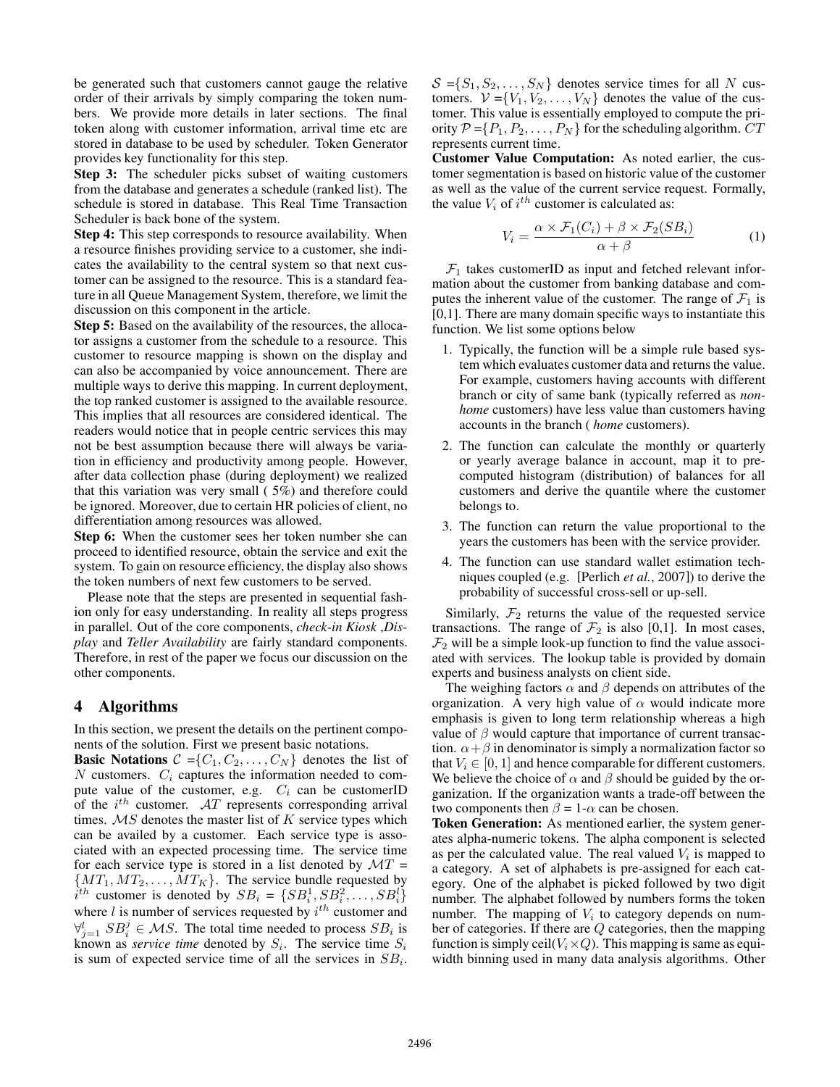be generated such that customers cannot gauge the relative order of their arrivals by simply comparing the token numbers. We provide more details in later sections. The final token along with customer information, arrival time etc are stored in database to be used by scheduler. Token Generator provides key functionality for this step.

Step 3: The scheduler picks subset of waiting customers from the database and generates a schedule (ranked list). The schedule is stored in database. This Real Time Transaction Scheduler is back bone of the system.

Step 4: This step corresponds to resource availability. When a resource finishes providing service to a customer, she indicates the availability to the central system so that next customer can be assigned to the resource. This is a standard feature in all Queue Management System, therefore, we limit the discussion on this component in the article.

Step 5: Based on the availability of the resources, the allocator assigns a customer from the schedule to a resource. This customer to resource mapping is shown on the display and can also be accompanied by voice announcement. There are multiple ways to derive this mapping. In current deployment, the top ranked customer is assigned to the available resource. This implies that all resources are considered identical. The readers would notice that in people centric services this may not be best assumption because there will always be variation in efficiency and productivity among people. However, after data collection phase (during deployment) we realized that this variation was very small ( 5%) and therefore could be ignored. Moreover, due to certain HR policies of client, no differentiation among resources was allowed.

Step 6: When the customer sees her token number she can proceed to identified resource, obtain the service and exit the system. To gain on resource efficiency, the display also shows the token numbers of next few customers to be served.

Please note that the steps are presented in sequential fashion only for easy understanding. In reality all steps progress in parallel. Out of the core components, *check-in Kiosk* ,*Display* and *Teller Availability* are fairly standard components. Therefore, in rest of the paper we focus our discussion on the other components.

## 4 Algorithms

In this section, we present the details on the pertinent components of the solution. First we present basic notations.

**Basic Notations**  $C = \{C_1, C_2, \ldots, C_N\}$  denotes the list of  $N$  customers.  $C_i$  captures the information needed to compute value of the customer, e.g.  $C_i$  can be customerID of the  $i^{th}$  customer. AT represents corresponding arrival times.  $MS$  denotes the master list of  $K$  service types which can be availed by a customer. Each service type is associated with an expected processing time. The service time for each service type is stored in a list denoted by  $MT =$  $\{MT_1, MT_2, \ldots, MT_K\}$ . The service bundle requested by  $i^{th}$  customer is denoted by  $SB_i = \{SB_i^1, SB_i^2, \ldots, SB_i^l\}$ where  $l$  is number of services requested by  $i^{th}$  customer and  $\forall_{i=1}^{l} SB_{i}^{j} \in MS$ . The total time needed to process  $SB_{i}$  is known as *service time* denoted by  $S_i$ . The service time  $S_i$ is sum of expected service time of all the services in  $SB_i$ .  $S = \{S_1, S_2, \ldots, S_N\}$  denotes service times for all N customers.  $V = \{V_1, V_2, \ldots, V_N\}$  denotes the value of the customer. This value is essentially employed to compute the priority  $P = \{P_1, P_2, \ldots, P_N\}$  for the scheduling algorithm.  $CT$ represents current time.

Customer Value Computation: As noted earlier, the customer segmentation is based on historic value of the customer as well as the value of the current service request. Formally, the value  $V_i$  of  $i^{th}$  customer is calculated as:

$$
V_i = \frac{\alpha \times \mathcal{F}_1(C_i) + \beta \times \mathcal{F}_2(SB_i)}{\alpha + \beta} \tag{1}
$$

 $\mathcal{F}_1$  takes customerID as input and fetched relevant information about the customer from banking database and computes the inherent value of the customer. The range of  $\mathcal{F}_1$  is [0,1]. There are many domain specific ways to instantiate this function. We list some options below

- 1. Typically, the function will be a simple rule based system which evaluates customer data and returns the value. For example, customers having accounts with different branch or city of same bank (typically referred as *nonhome* customers) have less value than customers having accounts in the branch ( *home* customers).
- 2. The function can calculate the monthly or quarterly or yearly average balance in account, map it to precomputed histogram (distribution) of balances for all customers and derive the quantile where the customer belongs to.
- 3. The function can return the value proportional to the years the customers has been with the service provider.
- 4. The function can use standard wallet estimation techniques coupled (e.g. [Perlich *et al.*, 2007]) to derive the probability of successful cross-sell or up-sell.

Similarly,  $\mathcal{F}_2$  returns the value of the requested service transactions. The range of  $\mathcal{F}_2$  is also [0,1]. In most cases,  $\mathcal{F}_2$  will be a simple look-up function to find the value associated with services. The lookup table is provided by domain experts and business analysts on client side.

The weighing factors  $\alpha$  and  $\beta$  depends on attributes of the organization. A very high value of  $\alpha$  would indicate more emphasis is given to long term relationship whereas a high value of  $\beta$  would capture that importance of current transaction.  $\alpha + \beta$  in denominator is simply a normalization factor so that  $V_i \in [0, 1]$  and hence comparable for different customers. We believe the choice of  $\alpha$  and  $\beta$  should be guided by the organization. If the organization wants a trade-off between the two components then  $\beta = 1$ - $\alpha$  can be chosen.

Token Generation: As mentioned earlier, the system generates alpha-numeric tokens. The alpha component is selected as per the calculated value. The real valued  $V_i$  is mapped to a category. A set of alphabets is pre-assigned for each category. One of the alphabet is picked followed by two digit number. The alphabet followed by numbers forms the token number. The mapping of  $V_i$  to category depends on number of categories. If there are Q categories, then the mapping function is simply ceil( $V_i \times Q$ ). This mapping is same as equiwidth binning used in many data analysis algorithms. Other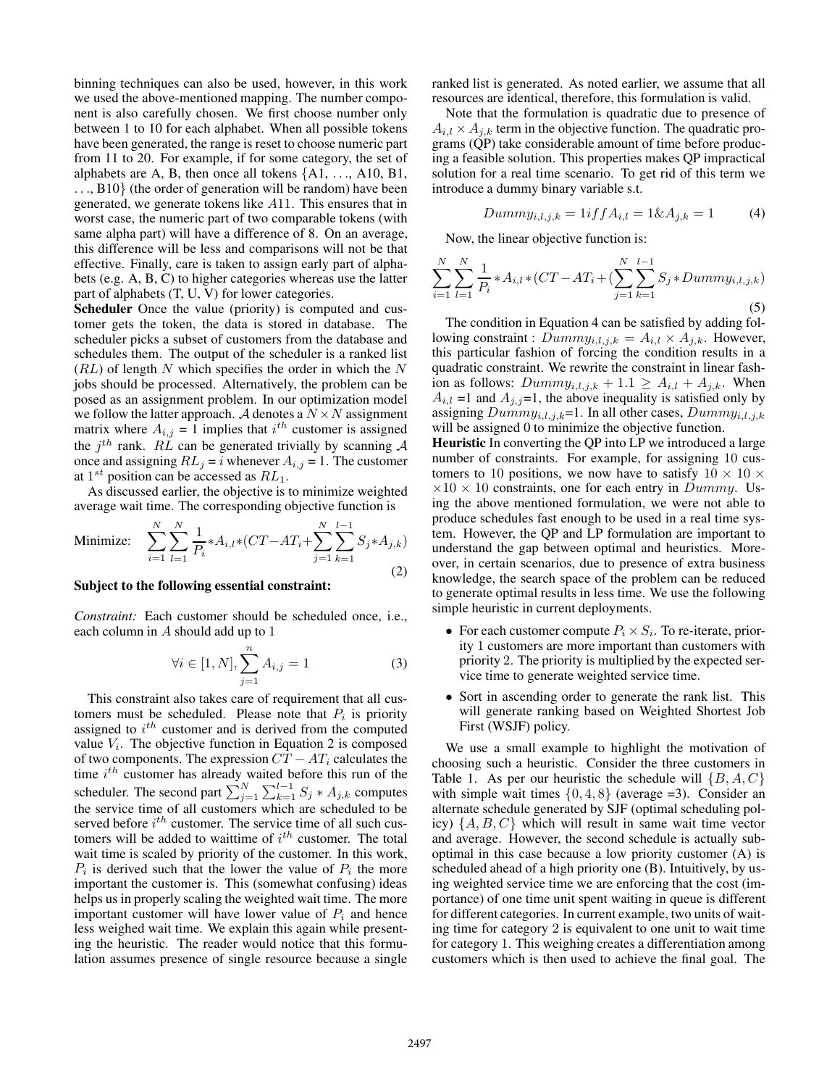binning techniques can also be used, however, in this work we used the above-mentioned mapping. The number component is also carefully chosen. We first choose number only between 1 to 10 for each alphabet. When all possible tokens have been generated, the range is reset to choose numeric part from 11 to 20. For example, if for some category, the set of alphabets are A, B, then once all tokens  $\{A1, \ldots, A10, B1, \ldots\}$ ..., B10} (the order of generation will be random) have been generated, we generate tokens like A11. This ensures that in worst case, the numeric part of two comparable tokens (with same alpha part) will have a difference of 8. On an average, this difference will be less and comparisons will not be that effective. Finally, care is taken to assign early part of alphabets (e.g. A, B, C) to higher categories whereas use the latter part of alphabets (T, U, V) for lower categories.

Scheduler Once the value (priority) is computed and customer gets the token, the data is stored in database. The scheduler picks a subset of customers from the database and schedules them. The output of the scheduler is a ranked list  $(RL)$  of length N which specifies the order in which the N jobs should be processed. Alternatively, the problem can be posed as an assignment problem. In our optimization model we follow the latter approach. A denotes a  $N \times N$  assignment matrix where  $A_{i,j} = 1$  implies that  $i^{th}$  customer is assigned the  $j<sup>th</sup>$  rank. RL can be generated trivially by scanning A once and assigning  $RL_j = i$  whenever  $A_{i,j} = 1$ . The customer at  $1^{st}$  position can be accessed as  $RL_1$ .

As discussed earlier, the objective is to minimize weighted average wait time. The corresponding objective function is

Minimize: 
$$
\sum_{i=1}^{N} \sum_{l=1}^{N} \frac{1}{P_i} * A_{i,l} * (CT - AT_i + \sum_{j=1}^{N} \sum_{k=1}^{l-1} S_j * A_{j,k})
$$
(2)

#### Subject to the following essential constraint:

*Constraint:* Each customer should be scheduled once, i.e., each column in A should add up to 1

$$
\forall i \in [1, N], \sum_{j=1}^{n} A_{i,j} = 1
$$
 (3)

This constraint also takes care of requirement that all customers must be scheduled. Please note that  $P_i$  is priority assigned to  $i^{th}$  customer and is derived from the computed value  $V_i$ . The objective function in Equation 2 is composed of two components. The expression  $CT - AT_i$  calculates the time  $i^{th}$  customer has already waited before this run of the scheduler. The second part  $\sum_{i=1}^{N} \sum_{k=1}^{l-1} S_j * A_{j,k}$  computes the service time of all customers which are scheduled to be served before  $i^{th}$  customer. The service time of all such customers will be added to waittime of  $i^{th}$  customer. The total wait time is scaled by priority of the customer. In this work,  $P_i$  is derived such that the lower the value of  $P_i$  the more important the customer is. This (somewhat confusing) ideas helps us in properly scaling the weighted wait time. The more important customer will have lower value of  $P_i$  and hence less weighed wait time. We explain this again while presenting the heuristic. The reader would notice that this formulation assumes presence of single resource because a single ranked list is generated. As noted earlier, we assume that all resources are identical, therefore, this formulation is valid.

Note that the formulation is quadratic due to presence of  $A_{i,l} \times A_{j,k}$  term in the objective function. The quadratic programs (QP) take considerable amount of time before producing a feasible solution. This properties makes QP impractical solution for a real time scenario. To get rid of this term we introduce a dummy binary variable s.t.

$$
Dummy_{i,l,j,k} = 1 \text{if } f A_{i,l} = 1 \& A_{j,k} = 1 \tag{4}
$$

Now, the linear objective function is:

$$
\sum_{i=1}^{N} \sum_{l=1}^{N} \frac{1}{P_i} * A_{i,l} * (CT - AT_i + (\sum_{j=1}^{N} \sum_{k=1}^{l-1} S_j * Dummy_{i,l,j,k})
$$
\n(5)

The condition in Equation 4 can be satisfied by adding following constraint :  $Dummy_{i,l,j,k} = A_{i,l} \times A_{j,k}$ . However, this particular fashion of forcing the condition results in a quadratic constraint. We rewrite the constraint in linear fashion as follows:  $Dummy_{i,l,j,k} + 1.1 \geq A_{i,l} + A_{j,k}$ . When  $A_{i,l}$  =1 and  $A_{j,j}$ =1, the above inequality is satisfied only by assigning  $Dummy_{i,l,j,k}=1$ . In all other cases,  $Dummy_{i,l,j,k}$ will be assigned 0 to minimize the objective function.

Heuristic In converting the QP into LP we introduced a large number of constraints. For example, for assigning 10 customers to 10 positions, we now have to satisfy  $10 \times 10 \times$  $\times 10 \times 10$  constraints, one for each entry in *Dummy*. Using the above mentioned formulation, we were not able to produce schedules fast enough to be used in a real time system. However, the QP and LP formulation are important to understand the gap between optimal and heuristics. Moreover, in certain scenarios, due to presence of extra business knowledge, the search space of the problem can be reduced to generate optimal results in less time. We use the following simple heuristic in current deployments.

- For each customer compute  $P_i \times S_i$ . To re-iterate, priority 1 customers are more important than customers with priority 2. The priority is multiplied by the expected service time to generate weighted service time.
- Sort in ascending order to generate the rank list. This will generate ranking based on Weighted Shortest Job First (WSJF) policy.

We use a small example to highlight the motivation of choosing such a heuristic. Consider the three customers in Table 1. As per our heuristic the schedule will  $\{B, A, C\}$ with simple wait times  $\{0, 4, 8\}$  (average =3). Consider an alternate schedule generated by SJF (optimal scheduling policy)  $\{A, B, C\}$  which will result in same wait time vector and average. However, the second schedule is actually suboptimal in this case because a low priority customer (A) is scheduled ahead of a high priority one (B). Intuitively, by using weighted service time we are enforcing that the cost (importance) of one time unit spent waiting in queue is different for different categories. In current example, two units of waiting time for category 2 is equivalent to one unit to wait time for category 1. This weighing creates a differentiation among customers which is then used to achieve the final goal. The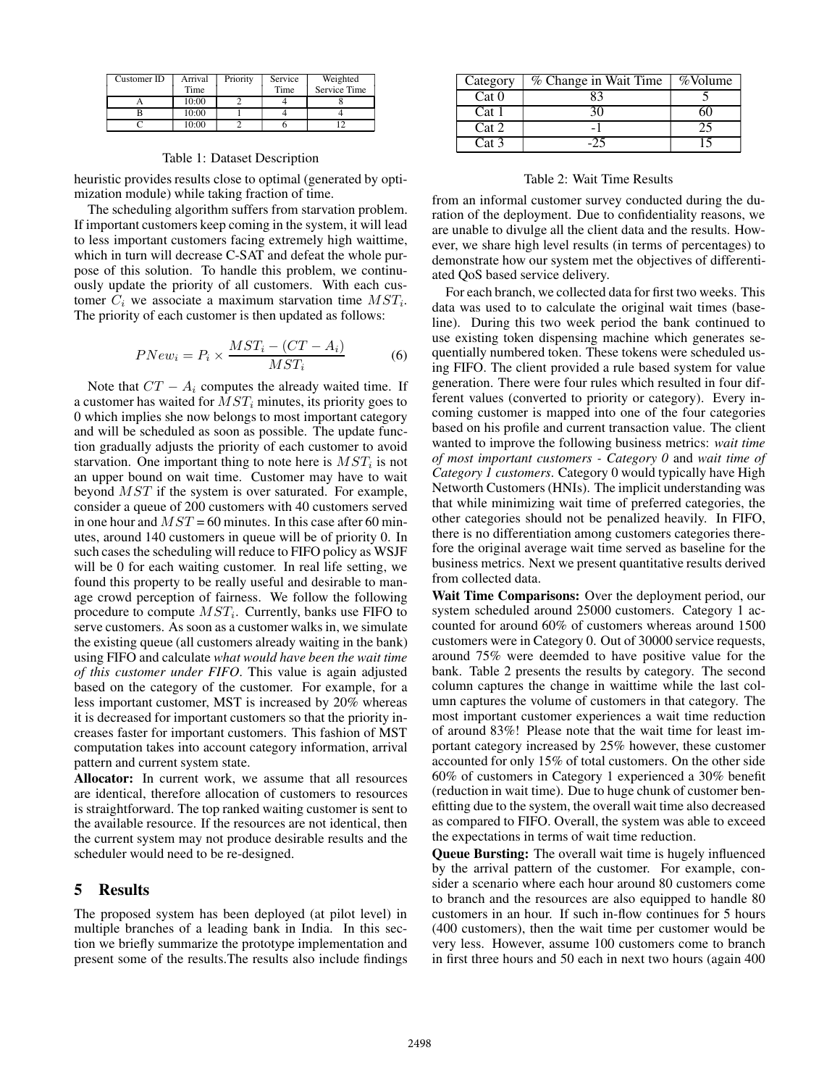| Customer ID | Arrival<br>Time | Priority | Service<br>Time | Weighted<br>Service Time |
|-------------|-----------------|----------|-----------------|--------------------------|
|             | 10:00           |          |                 |                          |
|             | 10:00           |          |                 |                          |
|             | 10:00           |          |                 |                          |

#### Table 1: Dataset Description

heuristic provides results close to optimal (generated by optimization module) while taking fraction of time.

The scheduling algorithm suffers from starvation problem. If important customers keep coming in the system, it will lead to less important customers facing extremely high waittime, which in turn will decrease C-SAT and defeat the whole purpose of this solution. To handle this problem, we continuously update the priority of all customers. With each customer  $C_i$  we associate a maximum starvation time  $MST_i$ . The priority of each customer is then updated as follows:

$$
PNew_i = P_i \times \frac{MST_i - (CT - A_i)}{MST_i}
$$
 (6)

Note that  $CT - A_i$  computes the already waited time. If a customer has waited for  $MST_i$  minutes, its priority goes to 0 which implies she now belongs to most important category and will be scheduled as soon as possible. The update function gradually adjusts the priority of each customer to avoid starvation. One important thing to note here is  $MST_i$  is not an upper bound on wait time. Customer may have to wait beyond MST if the system is over saturated. For example, consider a queue of 200 customers with 40 customers served in one hour and  $MST = 60$  minutes. In this case after 60 minutes, around 140 customers in queue will be of priority 0. In such cases the scheduling will reduce to FIFO policy as WSJF will be 0 for each waiting customer. In real life setting, we found this property to be really useful and desirable to manage crowd perception of fairness. We follow the following procedure to compute  $MST_i$ . Currently, banks use FIFO to serve customers. As soon as a customer walks in, we simulate the existing queue (all customers already waiting in the bank) using FIFO and calculate *what would have been the wait time of this customer under FIFO*. This value is again adjusted based on the category of the customer. For example, for a less important customer, MST is increased by 20% whereas it is decreased for important customers so that the priority increases faster for important customers. This fashion of MST computation takes into account category information, arrival pattern and current system state.

Allocator: In current work, we assume that all resources are identical, therefore allocation of customers to resources is straightforward. The top ranked waiting customer is sent to the available resource. If the resources are not identical, then the current system may not produce desirable results and the scheduler would need to be re-designed.

### 5 Results

The proposed system has been deployed (at pilot level) in multiple branches of a leading bank in India. In this section we briefly summarize the prototype implementation and present some of the results.The results also include findings

| Category | % Change in Wait Time | %Volume |
|----------|-----------------------|---------|
| Cat 0    |                       |         |
| Cat 1    |                       |         |
| Cat 2    |                       |         |
| Cat 3    |                       |         |

#### Table 2: Wait Time Results

from an informal customer survey conducted during the duration of the deployment. Due to confidentiality reasons, we are unable to divulge all the client data and the results. However, we share high level results (in terms of percentages) to demonstrate how our system met the objectives of differentiated QoS based service delivery.

For each branch, we collected data for first two weeks. This data was used to to calculate the original wait times (baseline). During this two week period the bank continued to use existing token dispensing machine which generates sequentially numbered token. These tokens were scheduled using FIFO. The client provided a rule based system for value generation. There were four rules which resulted in four different values (converted to priority or category). Every incoming customer is mapped into one of the four categories based on his profile and current transaction value. The client wanted to improve the following business metrics: *wait time of most important customers - Category 0* and *wait time of Category 1 customers*. Category 0 would typically have High Networth Customers (HNIs). The implicit understanding was that while minimizing wait time of preferred categories, the other categories should not be penalized heavily. In FIFO, there is no differentiation among customers categories therefore the original average wait time served as baseline for the business metrics. Next we present quantitative results derived from collected data.

Wait Time Comparisons: Over the deployment period, our system scheduled around 25000 customers. Category 1 accounted for around 60% of customers whereas around 1500 customers were in Category 0. Out of 30000 service requests, around 75% were deemded to have positive value for the bank. Table 2 presents the results by category. The second column captures the change in waittime while the last column captures the volume of customers in that category. The most important customer experiences a wait time reduction of around 83%! Please note that the wait time for least important category increased by 25% however, these customer accounted for only 15% of total customers. On the other side 60% of customers in Category 1 experienced a 30% benefit (reduction in wait time). Due to huge chunk of customer benefitting due to the system, the overall wait time also decreased as compared to FIFO. Overall, the system was able to exceed the expectations in terms of wait time reduction.

Queue Bursting: The overall wait time is hugely influenced by the arrival pattern of the customer. For example, consider a scenario where each hour around 80 customers come to branch and the resources are also equipped to handle 80 customers in an hour. If such in-flow continues for 5 hours (400 customers), then the wait time per customer would be very less. However, assume 100 customers come to branch in first three hours and 50 each in next two hours (again 400